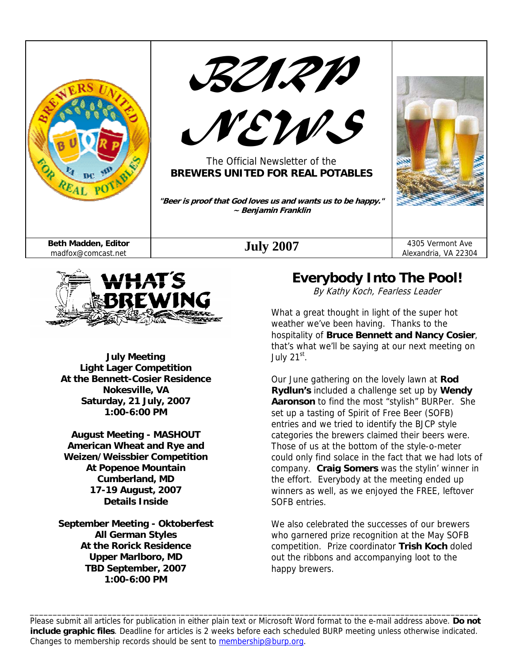



**July Meeting Light Lager Competition At the Bennett-Cosier Residence Nokesville, VA Saturday, 21 July, 2007 1:00-6:00 PM** 

**August Meeting - MASHOUT American Wheat and Rye and Weizen/Weissbier Competition At Popenoe Mountain Cumberland, MD 17-19 August, 2007 Details Inside** 

**September Meeting - Oktoberfest All German Styles At the Rorick Residence Upper Marlboro, MD TBD September, 2007 1:00-6:00 PM** 

### **Everybody Into The Pool!**

By Kathy Koch, Fearless Leader

What a great thought in light of the super hot weather we've been having. Thanks to the hospitality of **Bruce Bennett and Nancy Cosier**, that's what we'll be saying at our next meeting on July  $21<sup>st</sup>$ .

Our June gathering on the lovely lawn at **Rod Rydlun's** included a challenge set up by **Wendy Aaronson** to find the most "stylish" BURPer. She set up a tasting of Spirit of Free Beer (SOFB) entries and we tried to identify the BJCP style categories the brewers claimed their beers were. Those of us at the bottom of the style-o-meter could only find solace in the fact that we had lots of company. **Craig Somers** was the stylin' winner in the effort. Everybody at the meeting ended up winners as well, as we enjoyed the FREE, leftover SOFB entries.

We also celebrated the successes of our brewers who garnered prize recognition at the May SOFB competition. Prize coordinator **Trish Koch** doled out the ribbons and accompanying loot to the happy brewers.

Please submit all articles for publication in either plain text or Microsoft Word format to the e-mail address above. **Do not include graphic files**. Deadline for articles is 2 weeks before each scheduled BURP meeting unless otherwise indicated. Changes to membership records should be sent to membership@burp.org.

\_\_\_\_\_\_\_\_\_\_\_\_\_\_\_\_\_\_\_\_\_\_\_\_\_\_\_\_\_\_\_\_\_\_\_\_\_\_\_\_\_\_\_\_\_\_\_\_\_\_\_\_\_\_\_\_\_\_\_\_\_\_\_\_\_\_\_\_\_\_\_\_\_\_\_\_\_\_\_\_\_\_\_\_\_\_\_\_\_\_\_\_\_\_\_\_\_\_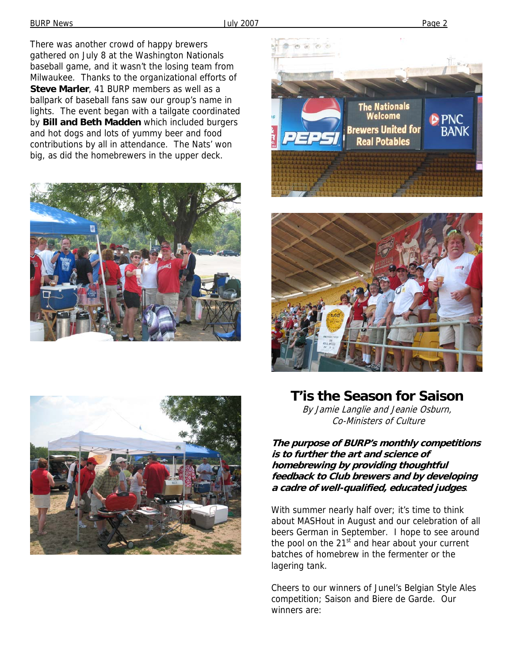There was another crowd of happy brewers gathered on July 8 at the Washington Nationals baseball game, and it wasn't the losing team from Milwaukee. Thanks to the organizational efforts of **Steve Marler**, 41 BURP members as well as a ballpark of baseball fans saw our group's name in lights. The event began with a tailgate coordinated by **Bill and Beth Madden** which included burgers and hot dogs and lots of yummy beer and food contributions by all in attendance. The Nats' won big, as did the homebrewers in the upper deck.









**T'is the Season for Saison** 

By Jamie Langlie and Jeanie Osburn, Co-Ministers of Culture

**The purpose of BURP's monthly competitions is to further the art and science of homebrewing by providing thoughtful feedback to Club brewers and by developing a cadre of well-qualified, educated judges**.

With summer nearly half over; it's time to think about MASHout in August and our celebration of all beers German in September. I hope to see around the pool on the  $21<sup>st</sup>$  and hear about your current batches of homebrew in the fermenter or the lagering tank.

Cheers to our winners of Junel's Belgian Style Ales competition; Saison and Biere de Garde. Our winners are: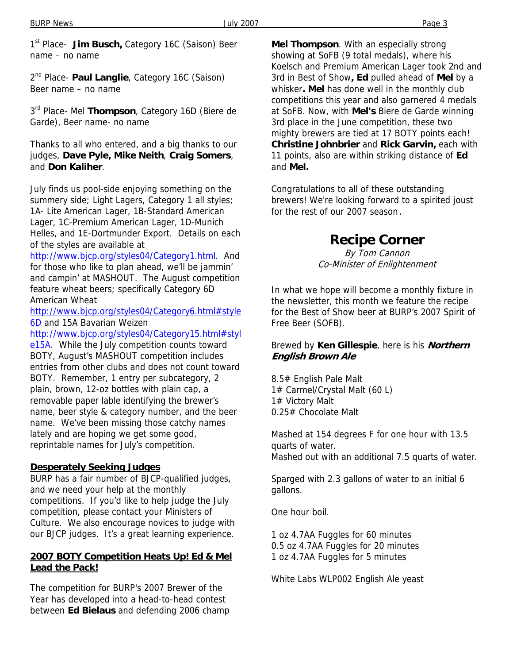1<sup>st</sup> Place- **Jim Busch**, Category 16C (Saison) Beer name – no name

2<sup>nd</sup> Place- **Paul Langlie**, Category 16C (Saison) Beer name – no name

3<sup>rd</sup> Place- Mel Thompson, Category 16D (Biere de Garde), Beer name- no name

Thanks to all who entered, and a big thanks to our judges, **Dave Pyle, Mike Neith**, **Craig Somers**, and **Don Kaliher**.

July finds us pool-side enjoying something on the summery side; Light Lagers, Category 1 all styles; 1A- Lite American Lager, 1B-Standard American Lager, 1C-Premium American Lager, 1D-Munich Helles, and 1E-Dortmunder Export. Details on each of the styles are available at

http://www.bjcp.org/styles04/Category1.html. And for those who like to plan ahead, we'll be jammin' and campin' at MASHOUT. The August competition feature wheat beers; specifically Category 6D American Wheat

http://www.bjcp.org/styles04/Category6.html#style 6D and 15A Bavarian Weizen

http://www.bjcp.org/styles04/Category15.html#styl

e15A. While the July competition counts toward BOTY, August's MASHOUT competition includes entries from other clubs and does not count toward BOTY. Remember, 1 entry per subcategory, 2 plain, brown, 12-oz bottles with plain cap, a removable paper lable identifying the brewer's name, beer style & category number, and the beer name. We've been missing those catchy names lately and are hoping we get some good, reprintable names for July's competition.

#### **Desperately Seeking Judges**

BURP has a fair number of BJCP-qualified judges, and we need your help at the monthly competitions. If you'd like to help judge the July competition, please contact your Ministers of Culture. We also encourage novices to judge with our BJCP judges. It's a great learning experience.

#### **2007 BOTY Competition Heats Up! Ed & Mel Lead the Pack!**

The competition for BURP's 2007 Brewer of the Year has developed into a head-to-head contest between **Ed Bielaus** and defending 2006 champ **Mel Thompson**. With an especially strong showing at SoFB (9 total medals), where his Koelsch and Premium American Lager took 2nd and 3rd in Best of Show**, Ed** pulled ahead of **Mel** by a whisker**. Mel** has done well in the monthly club competitions this year and also garnered 4 medals at SoFB. Now, with **Mel's** Biere de Garde winning 3rd place in the June competition, these two mighty brewers are tied at 17 BOTY points each! **Christine Johnbrier** and **Rick Garvin,** each with 11 points, also are within striking distance of **Ed**  and **Mel.**

Congratulations to all of these outstanding brewers! We're looking forward to a spirited joust for the rest of our 2007 season.

# **Recipe Corner**

By Tom Cannon Co-Minister of Enlightenment

In what we hope will become a monthly fixture in the newsletter, this month we feature the recipe for the Best of Show beer at BURP's 2007 Spirit of Free Beer (SOFB).

#### Brewed by **Ken Gillespie**, here is his **Northern English Brown Ale**

8.5# English Pale Malt 1# Carmel/Crystal Malt (60 L) 1# Victory Malt 0.25# Chocolate Malt

Mashed at 154 degrees F for one hour with 13.5 quarts of water. Mashed out with an additional 7.5 quarts of water.

Sparged with 2.3 gallons of water to an initial 6 gallons.

One hour boil.

1 oz 4.7AA Fuggles for 60 minutes 0.5 oz 4.7AA Fuggles for 20 minutes 1 oz 4.7AA Fuggles for 5 minutes

White Labs WLP002 English Ale yeast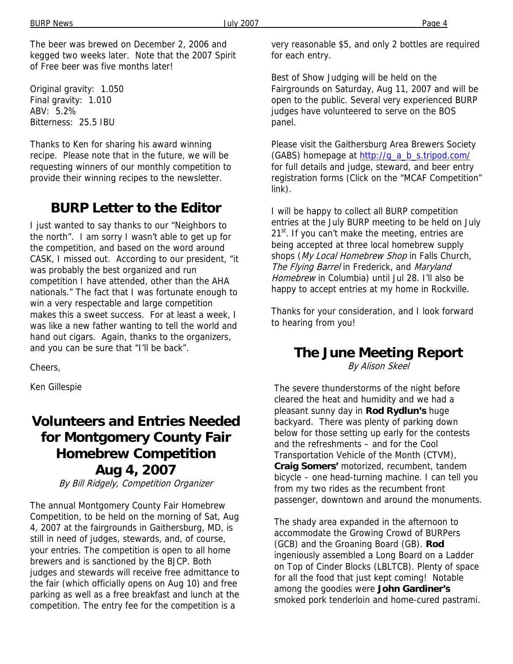The beer was brewed on December 2, 2006 and kegged two weeks later. Note that the 2007 Spirit of Free beer was five months later!

Original gravity: 1.050 Final gravity: 1.010 ABV: 5.2% Bitterness: 25.5 IBU

Thanks to Ken for sharing his award winning recipe. Please note that in the future, we will be requesting winners of our monthly competition to provide their winning recipes to the newsletter.

### **BURP Letter to the Editor**

I just wanted to say thanks to our "Neighbors to the north". I am sorry I wasn't able to get up for the competition, and based on the word around CASK, I missed out. According to our president, "it was probably the best organized and run competition I have attended, other than the AHA nationals." The fact that I was fortunate enough to win a very respectable and large competition makes this a sweet success. For at least a week, I was like a new father wanting to tell the world and hand out cigars. Again, thanks to the organizers, and you can be sure that "I'll be back".

Cheers,

Ken Gillespie

## **Volunteers and Entries Needed for Montgomery County Fair Homebrew Competition Aug 4, 2007**

By Bill Ridgely, Competition Organizer

The annual Montgomery County Fair Homebrew Competition, to be held on the morning of Sat, Aug 4, 2007 at the fairgrounds in Gaithersburg, MD, is still in need of judges, stewards, and, of course, your entries. The competition is open to all home brewers and is sanctioned by the BJCP. Both judges and stewards will receive free admittance to the fair (which officially opens on Aug 10) and free parking as well as a free breakfast and lunch at the competition. The entry fee for the competition is a

very reasonable \$5, and only 2 bottles are required for each entry.

Best of Show Judging will be held on the Fairgrounds on Saturday, Aug 11, 2007 and will be open to the public. Several very experienced BURP judges have volunteered to serve on the BOS panel.

Please visit the Gaithersburg Area Brewers Society (GABS) homepage at http://q\_a\_b\_s.tripod.com/ for full details and judge, steward, and beer entry registration forms (Click on the "MCAF Competition" link).

I will be happy to collect all BURP competition entries at the July BURP meeting to be held on July  $21^{st}$ . If you can't make the meeting, entries are being accepted at three local homebrew supply shops (My Local Homebrew Shop in Falls Church, The Flying Barrel in Frederick, and Maryland Homebrew in Columbia) until Jul 28. I'll also be happy to accept entries at my home in Rockville.

Thanks for your consideration, and I look forward to hearing from you!

### **The June Meeting Report**

By Alison Skeel

The severe thunderstorms of the night before cleared the heat and humidity and we had a pleasant sunny day in **Rod Rydlun's** huge backyard. There was plenty of parking down below for those setting up early for the contests and the refreshments – and for the Cool Transportation Vehicle of the Month (CTVM), **Craig Somers'** motorized, recumbent, tandem bicycle – one head-turning machine. I can tell you from my two rides as the recumbent front passenger, downtown and around the monuments.

The shady area expanded in the afternoon to accommodate the Growing Crowd of BURPers (GCB) and the Groaning Board (GB). **Rod** ingeniously assembled a Long Board on a Ladder on Top of Cinder Blocks (LBLTCB). Plenty of space for all the food that just kept coming! Notable among the goodies were **John Gardiner's** smoked pork tenderloin and home-cured pastrami.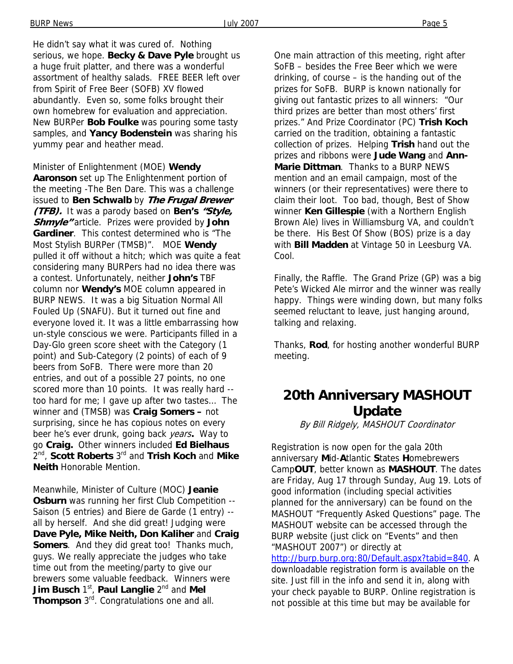He didn't say what it was cured of. Nothing serious, we hope. **Becky & Dave Pyle** brought us a huge fruit platter, and there was a wonderful assortment of healthy salads. FREE BEER left over from Spirit of Free Beer (SOFB) XV flowed abundantly. Even so, some folks brought their own homebrew for evaluation and appreciation. New BURPer **Bob Foulke** was pouring some tasty samples, and **Yancy Bodenstein** was sharing his yummy pear and heather mead.

Minister of Enlightenment (MOE) **Wendy Aaronson** set up The Enlightenment portion of the meeting -The Ben Dare. This was a challenge issued to **Ben Schwalb** by **The Frugal Brewer (TFB).** It was a parody based on **Ben's "Style, Shmyle"** article. Prizes were provided by **John Gardiner**. This contest determined who is "The Most Stylish BURPer (TMSB)". MOE **Wendy** pulled it off without a hitch; which was quite a feat considering many BURPers had no idea there was a contest. Unfortunately, neither **John's** TBF column nor **Wendy's** MOE column appeared in BURP NEWS. It was a big Situation Normal All Fouled Up (SNAFU). But it turned out fine and everyone loved it. It was a little embarrassing how un-style conscious we were. Participants filled in a Day-Glo green score sheet with the Category (1 point) and Sub-Category (2 points) of each of 9 beers from SoFB. There were more than 20 entries, and out of a possible 27 points, no one scored more than 10 points. It was really hard - too hard for me; I gave up after two tastes… The winner and (TMSB) was **Craig Somers –** not surprising, since he has copious notes on every beer he's ever drunk, going back years**.** Way to go **Craig.** Other winners included **Ed Bielhaus** 2nd, **Scott Roberts** 3rd and **Trish Koch** and **Mike Neith** Honorable Mention.

Meanwhile, Minister of Culture (MOC) **Jeanie Osburn** was running her first Club Competition -- Saison (5 entries) and Biere de Garde (1 entry) - all by herself. And she did great! Judging were **Dave Pyle, Mike Neith, Don Kaliher** and **Craig Somers**. And they did great too! Thanks much, guys. We really appreciate the judges who take time out from the meeting/party to give our brewers some valuable feedback. Winners were **Jim Busch** 1<sup>st</sup>, Paul Langlie 2<sup>nd</sup> and Mel **Thompson** 3rd. Congratulations one and all.

One main attraction of this meeting, right after SoFB – besides the Free Beer which we were drinking, of course – is the handing out of the prizes for SoFB. BURP is known nationally for giving out fantastic prizes to all winners: "Our third prizes are better than most others' first prizes." And Prize Coordinator (PC) **Trish Koch** carried on the tradition, obtaining a fantastic collection of prizes. Helping **Trish** hand out the prizes and ribbons were **Jude Wang** and **Ann-Marie Dittman**. Thanks to a BURP NEWS mention and an email campaign, most of the winners (or their representatives) were there to claim their loot. Too bad, though, Best of Show winner **Ken Gillespie** (with a Northern English Brown Ale) lives in Williamsburg VA, and couldn't be there. His Best Of Show (BOS) prize is a day with **Bill Madden** at Vintage 50 in Leesburg VA. Cool.

Finally, the Raffle. The Grand Prize (GP) was a big Pete's Wicked Ale mirror and the winner was really happy. Things were winding down, but many folks seemed reluctant to leave, just hanging around, talking and relaxing.

Thanks, **Rod**, for hosting another wonderful BURP meeting.

## **20th Anniversary MASHOUT Update**

By Bill Ridgely, MASHOUT Coordinator

Registration is now open for the gala 20th anniversary **M**id-**A**tlantic **S**tates **H**omebrewers Camp**OUT**, better known as **MASHOUT**. The dates are Friday, Aug 17 through Sunday, Aug 19. Lots of good information (including special activities planned for the anniversary) can be found on the MASHOUT "Frequently Asked Questions" page. The MASHOUT website can be accessed through the BURP website (just click on "Events" and then "MASHOUT 2007") or directly at http://burp.burp.org:80/Default.aspx?tabid=840. A downloadable registration form is available on the site. Just fill in the info and send it in, along with your check payable to BURP. Online registration is not possible at this time but may be available for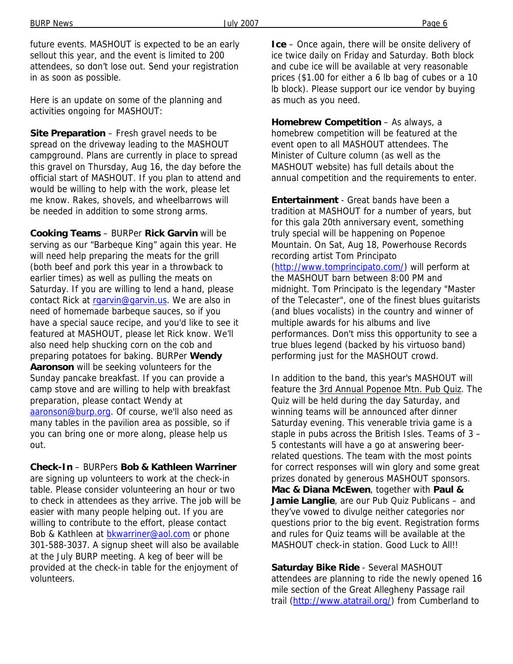future events. MASHOUT is expected to be an early sellout this year, and the event is limited to 200 attendees, so don't lose out. Send your registration in as soon as possible.

Here is an update on some of the planning and activities ongoing for MASHOUT:

**Site Preparation** – Fresh gravel needs to be spread on the driveway leading to the MASHOUT campground. Plans are currently in place to spread this gravel on Thursday, Aug 16, the day before the official start of MASHOUT. If you plan to attend and would be willing to help with the work, please let me know. Rakes, shovels, and wheelbarrows will be needed in addition to some strong arms.

**Cooking Teams** – BURPer **Rick Garvin** will be serving as our "Barbeque King" again this year. He will need help preparing the meats for the grill (both beef and pork this year in a throwback to earlier times) as well as pulling the meats on Saturday. If you are willing to lend a hand, please contact Rick at raarvin@garvin.us. We are also in need of homemade barbeque sauces, so if you have a special sauce recipe, and you'd like to see it featured at MASHOUT, please let Rick know. We'll also need help shucking corn on the cob and preparing potatoes for baking. BURPer **Wendy Aaronson** will be seeking volunteers for the Sunday pancake breakfast. If you can provide a camp stove and are willing to help with breakfast preparation, please contact Wendy at aaronson@burp.org. Of course, we'll also need as many tables in the pavilion area as possible, so if you can bring one or more along, please help us out.

**Check-In** – BURPers **Bob & Kathleen Warriner** are signing up volunteers to work at the check-in table. Please consider volunteering an hour or two to check in attendees as they arrive. The job will be easier with many people helping out. If you are willing to contribute to the effort, please contact Bob & Kathleen at **bkwarriner@aol.com** or phone 301-588-3037. A signup sheet will also be available at the July BURP meeting. A keg of beer will be provided at the check-in table for the enjoyment of volunteers.

**Ice** – Once again, there will be onsite delivery of ice twice daily on Friday and Saturday. Both block and cube ice will be available at very reasonable prices (\$1.00 for either a 6 lb bag of cubes or a 10 lb block). Please support our ice vendor by buying as much as you need.

**Homebrew Competition** – As always, a homebrew competition will be featured at the event open to all MASHOUT attendees. The Minister of Culture column (as well as the MASHOUT website) has full details about the annual competition and the requirements to enter.

**Entertainment** - Great bands have been a tradition at MASHOUT for a number of years, but for this gala 20th anniversary event, something truly special will be happening on Popenoe Mountain. On Sat, Aug 18, Powerhouse Records recording artist Tom Principato (http://www.tomprincipato.com/) will perform at the MASHOUT barn between 8:00 PM and midnight. Tom Principato is the legendary "Master of the Telecaster", one of the finest blues guitarists (and blues vocalists) in the country and winner of multiple awards for his albums and live performances. Don't miss this opportunity to see a true blues legend (backed by his virtuoso band) performing just for the MASHOUT crowd.

In addition to the band, this year's MASHOUT will feature the 3rd Annual Popenoe Mtn. Pub Quiz. The Quiz will be held during the day Saturday, and winning teams will be announced after dinner Saturday evening. This venerable trivia game is a staple in pubs across the British Isles. Teams of 3 – 5 contestants will have a go at answering beerrelated questions. The team with the most points for correct responses will win glory and some great prizes donated by generous MASHOUT sponsors. **Mac & Diana McEwen**, together with **Paul & Jamie Langlie**, are our Pub Quiz Publicans – and they've vowed to divulge neither categories nor questions prior to the big event. Registration forms and rules for Quiz teams will be available at the MASHOUT check-in station. Good Luck to All!!

**Saturday Bike Ride** - Several MASHOUT attendees are planning to ride the newly opened 16 mile section of the Great Allegheny Passage rail trail (http://www.atatrail.org/) from Cumberland to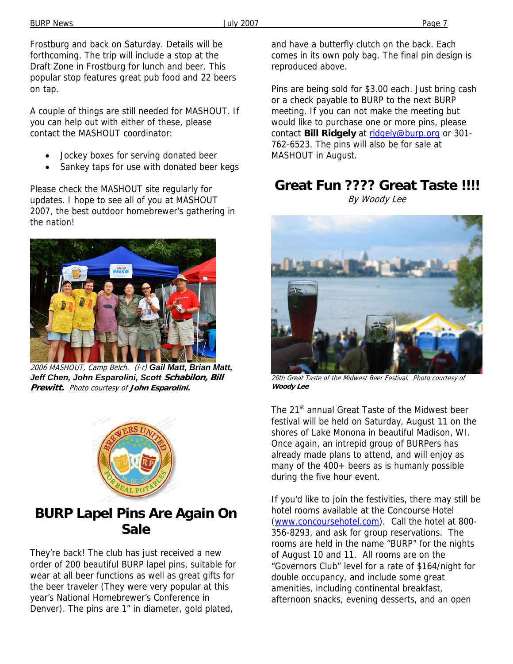Frostburg and back on Saturday. Details will be forthcoming. The trip will include a stop at the Draft Zone in Frostburg for lunch and beer. This popular stop features great pub food and 22 beers on tap.

A couple of things are still needed for MASHOUT. If you can help out with either of these, please contact the MASHOUT coordinator:

- Jockey boxes for serving donated beer
- Sankey taps for use with donated beer kegs

Please check the MASHOUT site regularly for updates. I hope to see all of you at MASHOUT 2007, the best outdoor homebrewer's gathering in the nation!



2006 MASHOUT, Camp Belch. (l-r) *Gail Matt, Brian Matt, Jeff Chen, John Esparolini, Scott* **Schabilon, Bill Prewitt.** Photo courtesy of **John Esparolini.**



## **BURP Lapel Pins Are Again On Sale**

They're back! The club has just received a new order of 200 beautiful BURP lapel pins, suitable for wear at all beer functions as well as great gifts for the beer traveler (They were very popular at this year's National Homebrewer's Conference in Denver). The pins are 1" in diameter, gold plated,

and have a butterfly clutch on the back. Each comes in its own poly bag. The final pin design is reproduced above.

Pins are being sold for \$3.00 each. Just bring cash or a check payable to BURP to the next BURP meeting. If you can not make the meeting but would like to purchase one or more pins, please contact **Bill Ridgely** at ridgely@burp.org or 301- 762-6523. The pins will also be for sale at MASHOUT in August.

# **Great Fun ???? Great Taste !!!!**

By Woody Lee



20th Great Taste of the Midwest Beer Festival. Photo courtesy of **Woody Lee** 

The 21<sup>st</sup> annual Great Taste of the Midwest beer festival will be held on Saturday, August 11 on the shores of Lake Monona in beautiful Madison, WI. Once again, an intrepid group of BURPers has already made plans to attend, and will enjoy as many of the 400+ beers as is humanly possible during the five hour event.

If you'd like to join the festivities, there may still be hotel rooms available at the Concourse Hotel (www.concoursehotel.com). Call the hotel at 800- 356-8293, and ask for group reservations. The rooms are held in the name "BURP" for the nights of August 10 and 11. All rooms are on the "Governors Club" level for a rate of \$164/night for double occupancy, and include some great amenities, including continental breakfast, afternoon snacks, evening desserts, and an open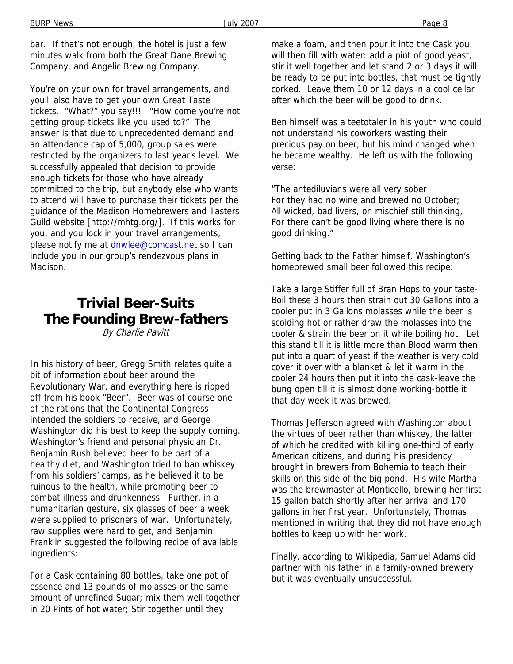bar. If that's not enough, the hotel is just a few minutes walk from both the Great Dane Brewing Company, and Angelic Brewing Company.

You're on your own for travel arrangements, and you'll also have to get your own Great Taste tickets. "What?" you say!!! "How come you're not getting group tickets like you used to?" The answer is that due to unprecedented demand and an attendance cap of 5,000, group sales were restricted by the organizers to last year's level. We successfully appealed that decision to provide enough tickets for those who have already committed to the trip, but anybody else who wants to attend will have to purchase their tickets per the guidance of the Madison Homebrewers and Tasters Guild website [http://mhtg.org/]. If this works for you, and you lock in your travel arrangements, please notify me at **dnwlee@comcast.net** so I can include you in our group's rendezvous plans in Madison.

# **Trivial Beer-Suits The Founding Brew-fathers**

By Charlie Pavitt

In his history of beer, Gregg Smith relates quite a bit of information about beer around the Revolutionary War, and everything here is ripped off from his book "Beer". Beer was of course one of the rations that the Continental Congress intended the soldiers to receive, and George Washington did his best to keep the supply coming. Washington's friend and personal physician Dr. Benjamin Rush believed beer to be part of a healthy diet, and Washington tried to ban whiskey from his soldiers' camps, as he believed it to be ruinous to the health, while promoting beer to combat illness and drunkenness. Further, in a humanitarian gesture, six glasses of beer a week were supplied to prisoners of war. Unfortunately, raw supplies were hard to get, and Benjamin Franklin suggested the following recipe of available ingredients:

For a Cask containing 80 bottles, take one pot of essence and 13 pounds of molasses-or the same amount of unrefined Sugar; mix them well together in 20 Pints of hot water; Stir together until they

make a foam, and then pour it into the Cask you will then fill with water: add a pint of good yeast, stir it well together and let stand 2 or 3 days it will be ready to be put into bottles, that must be tightly corked. Leave them 10 or 12 days in a cool cellar after which the beer will be good to drink.

Ben himself was a teetotaler in his youth who could not understand his coworkers wasting their precious pay on beer, but his mind changed when he became wealthy. He left us with the following verse:

"The antediluvians were all very sober For they had no wine and brewed no October; All wicked, bad livers, on mischief still thinking, For there can't be good living where there is no good drinking."

Getting back to the Father himself, Washington's homebrewed small beer followed this recipe:

Take a large Stiffer full of Bran Hops to your taste-Boil these 3 hours then strain out 30 Gallons into a cooler put in 3 Gallons molasses while the beer is scolding hot or rather draw the molasses into the cooler & strain the beer on it while boiling hot. Let this stand till it is little more than Blood warm then put into a quart of yeast if the weather is very cold cover it over with a blanket & let it warm in the cooler 24 hours then put it into the cask-leave the bung open till it is almost done working-bottle it that day week it was brewed.

Thomas Jefferson agreed with Washington about the virtues of beer rather than whiskey, the latter of which he credited with killing one-third of early American citizens, and during his presidency brought in brewers from Bohemia to teach their skills on this side of the big pond. His wife Martha was the brewmaster at Monticello, brewing her first 15 gallon batch shortly after her arrival and 170 gallons in her first year. Unfortunately, Thomas mentioned in writing that they did not have enough bottles to keep up with her work.

Finally, according to Wikipedia, Samuel Adams did partner with his father in a family-owned brewery but it was eventually unsuccessful.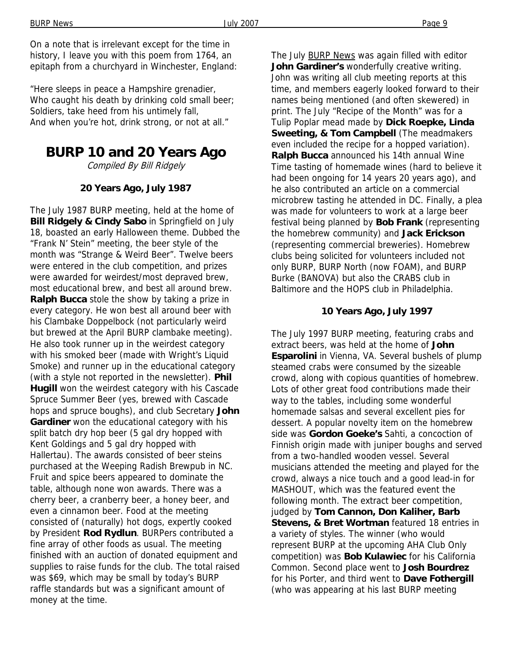On a note that is irrelevant except for the time in history, I leave you with this poem from 1764, an epitaph from a churchyard in Winchester, England:

"Here sleeps in peace a Hampshire grenadier, Who caught his death by drinking cold small beer; Soldiers, take heed from his untimely fall, And when you're hot, drink strong, or not at all."

# **BURP 10 and 20 Years Ago**

Compiled By Bill Ridgely

#### **20 Years Ago, July 1987**

The July 1987 BURP meeting, held at the home of **Bill Ridgely & Cindy Sabo** in Springfield on July 18, boasted an early Halloween theme. Dubbed the "Frank N' Stein" meeting, the beer style of the month was "Strange & Weird Beer". Twelve beers were entered in the club competition, and prizes were awarded for weirdest/most depraved brew, most educational brew, and best all around brew. **Ralph Bucca** stole the show by taking a prize in every category. He won best all around beer with his Clambake Doppelbock (not particularly weird but brewed at the April BURP clambake meeting). He also took runner up in the weirdest category with his smoked beer (made with Wright's Liquid Smoke) and runner up in the educational category (with a style not reported in the newsletter). **Phil Hugill** won the weirdest category with his Cascade Spruce Summer Beer (yes, brewed with Cascade hops and spruce boughs), and club Secretary **John Gardiner** won the educational category with his split batch dry hop beer (5 gal dry hopped with Kent Goldings and 5 gal dry hopped with Hallertau). The awards consisted of beer steins purchased at the Weeping Radish Brewpub in NC. Fruit and spice beers appeared to dominate the table, although none won awards. There was a cherry beer, a cranberry beer, a honey beer, and even a cinnamon beer. Food at the meeting consisted of (naturally) hot dogs, expertly cooked by President **Rod Rydlun**. BURPers contributed a fine array of other foods as usual. The meeting finished with an auction of donated equipment and supplies to raise funds for the club. The total raised was \$69, which may be small by today's BURP raffle standards but was a significant amount of money at the time.

The July BURP News was again filled with editor **John Gardiner's** wonderfully creative writing. John was writing all club meeting reports at this time, and members eagerly looked forward to their names being mentioned (and often skewered) in print. The July "Recipe of the Month" was for a Tulip Poplar mead made by **Dick Roepke, Linda Sweeting, & Tom Campbell** (The meadmakers even included the recipe for a hopped variation). **Ralph Bucca** announced his 14th annual Wine Time tasting of homemade wines (hard to believe it had been ongoing for 14 years 20 years ago), and he also contributed an article on a commercial microbrew tasting he attended in DC. Finally, a plea was made for volunteers to work at a large beer festival being planned by **Bob Frank** (representing the homebrew community) and **Jack Erickson**  (representing commercial breweries). Homebrew clubs being solicited for volunteers included not only BURP, BURP North (now FOAM), and BURP Burke (BANOVA) but also the CRABS club in Baltimore and the HOPS club in Philadelphia.

#### **10 Years Ago, July 1997**

The July 1997 BURP meeting, featuring crabs and extract beers, was held at the home of **John Esparolini** in Vienna, VA. Several bushels of plump steamed crabs were consumed by the sizeable crowd, along with copious quantities of homebrew. Lots of other great food contributions made their way to the tables, including some wonderful homemade salsas and several excellent pies for dessert. A popular novelty item on the homebrew side was **Gordon Goeke's** Sahti, a concoction of Finnish origin made with juniper boughs and served from a two-handled wooden vessel. Several musicians attended the meeting and played for the crowd, always a nice touch and a good lead-in for MASHOUT, which was the featured event the following month. The extract beer competition, judged by **Tom Cannon, Don Kaliher, Barb Stevens, & Bret Wortman** featured 18 entries in a variety of styles. The winner (who would represent BURP at the upcoming AHA Club Only competition) was **Bob Kulawiec** for his California Common. Second place went to **Josh Bourdrez**  for his Porter, and third went to **Dave Fothergill**  (who was appearing at his last BURP meeting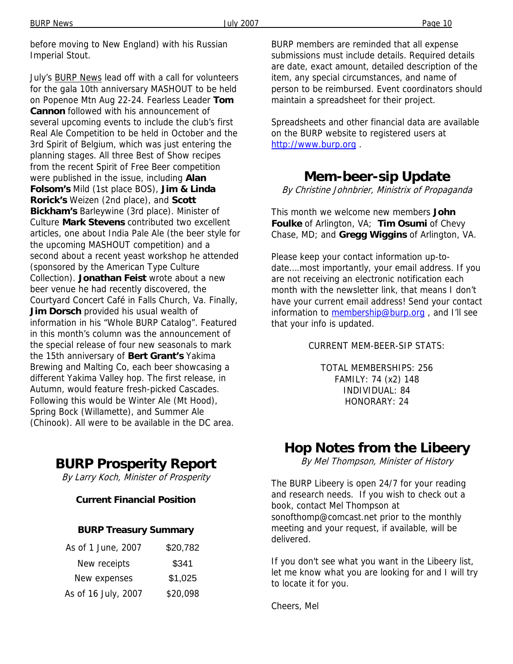before moving to New England) with his Russian Imperial Stout.

July's BURP News lead off with a call for volunteers for the gala 10th anniversary MASHOUT to be held on Popenoe Mtn Aug 22-24. Fearless Leader **Tom Cannon** followed with his announcement of several upcoming events to include the club's first Real Ale Competition to be held in October and the 3rd Spirit of Belgium, which was just entering the planning stages. All three Best of Show recipes from the recent Spirit of Free Beer competition were published in the issue, including **Alan Folsom's** Mild (1st place BOS), **Jim & Linda Rorick's** Weizen (2nd place), and **Scott Bickham's** Barleywine (3rd place). Minister of Culture **Mark Stevens** contributed two excellent articles, one about India Pale Ale (the beer style for the upcoming MASHOUT competition) and a second about a recent yeast workshop he attended (sponsored by the American Type Culture Collection). **Jonathan Feist** wrote about a new beer venue he had recently discovered, the Courtyard Concert Café in Falls Church, Va. Finally, **Jim Dorsch** provided his usual wealth of information in his "Whole BURP Catalog". Featured in this month's column was the announcement of the special release of four new seasonals to mark the 15th anniversary of **Bert Grant's** Yakima Brewing and Malting Co, each beer showcasing a different Yakima Valley hop. The first release, in Autumn, would feature fresh-picked Cascades. Following this would be Winter Ale (Mt Hood), Spring Bock (Willamette), and Summer Ale (Chinook). All were to be available in the DC area.

# **BURP Prosperity Report**

By Larry Koch, Minister of Prosperity

### **Current Financial Position**

#### **BURP Treasury Summary**

| As of 1 June, 2007  | \$20,782 |
|---------------------|----------|
| New receipts        | \$341    |
| New expenses        | \$1,025  |
| As of 16 July, 2007 | \$20,098 |

BURP members are reminded that all expense submissions must include details. Required details are date, exact amount, detailed description of the item, any special circumstances, and name of person to be reimbursed. Event coordinators should maintain a spreadsheet for their project.

Spreadsheets and other financial data are available on the BURP website to registered users at http://www.burp.org .

# **Mem-beer-sip Update**

By Christine Johnbrier, Ministrix of Propaganda

This month we welcome new members **John Foulke** of Arlington, VA; **Tim Osumi** of Chevy Chase, MD; and **Gregg Wiggins** of Arlington, VA.

Please keep your contact information up-todate….most importantly, your email address. If you are not receiving an electronic notification each month with the newsletter link, that means I don't have your current email address! Send your contact information to membership@burp.org, and I'll see that your info is updated.

CURRENT MEM-BEER-SIP STATS:

TOTAL MEMBERSHIPS: 256 FAMILY: 74 (x2) 148 INDIVIDUAL: 84 HONORARY: 24

# **Hop Notes from the Libeery**

By Mel Thompson, Minister of History

The BURP Libeery is open 24/7 for your reading and research needs. If you wish to check out a book, contact Mel Thompson at sonofthomp@comcast.net prior to the monthly meeting and your request, if available, will be delivered.

If you don't see what you want in the Libeery list, let me know what you are looking for and I will try to locate it for you.

Cheers, Mel